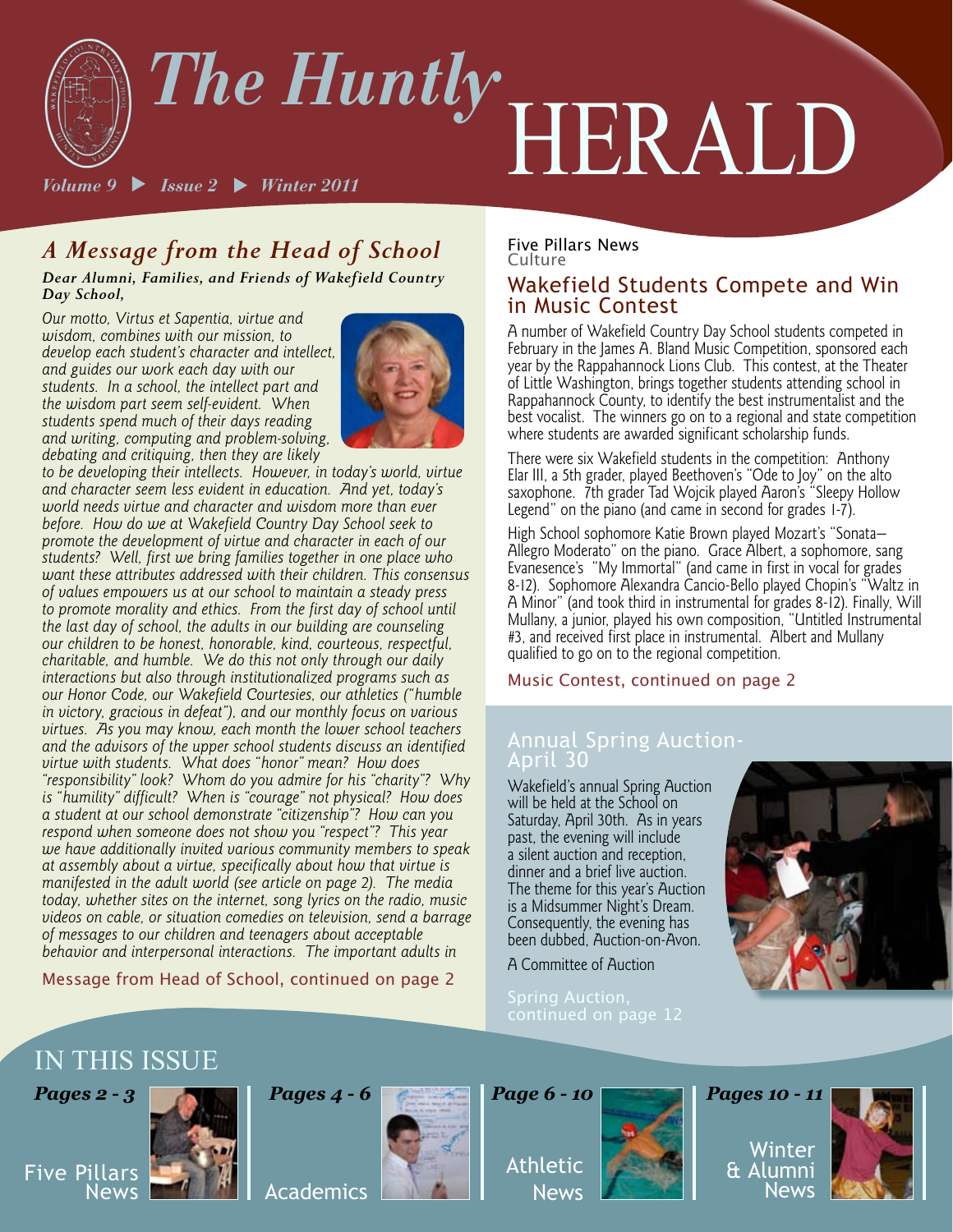

## *A Message from the Head of School*

*Dear Alumni, Families, and Friends of Wakefield Country Day School,*

*Our motto, Virtus et Sapentia, virtue and wisdom, combines with our mission, to develop each student's character and intellect, and guides our work each day with our students. In a school, the intellect part and the wisdom part seem self-evident. When students spend much of their days reading and writing, computing and problem-solving, debating and critiquing, then they are likely* 



*to be developing their intellects. However, in today's world, virtue and character seem less evident in education. And yet, today's world needs virtue and character and wisdom more than ever before. How do we at Wakefield Country Day School seek to promote the development of virtue and character in each of our students? Well, first we bring families together in one place who want these attributes addressed with their children. This consensus of values empowers us at our school to maintain a steady press to promote morality and ethics. From the first day of school until the last day of school, the adults in our building are counseling our children to be honest, honorable, kind, courteous, respectful, charitable, and humble. We do this not only through our daily interactions but also through institutionalized programs such as our Honor Code, our Wakefield Courtesies, our athletics ("humble in victory, gracious in defeat"), and our monthly focus on various virtues. As you may know, each month the lower school teachers and the advisors of the upper school students discuss an identified virtue with students. What does "honor" mean? How does "responsibility" look? Whom do you admire for his "charity"? Why is "humility" difficult? When is "courage" not physical? How does a student at our school demonstrate "citizenship"? How can you respond when someone does not show you "respect"? This year we have additionally invited various community members to speak at assembly about a virtue, specifically about how that virtue is manifested in the adult world (see article on page 2). The media today, whether sites on the internet, song lyrics on the radio, music videos on cable, or situation comedies on television, send a barrage of messages to our children and teenagers about acceptable behavior and interpersonal interactions. The important adults in* 

Message from Head of School, continued on page 2

#### Five Pillars News Culture

#### Wakefield Students Compete and Win in Music Contest

A number of Wakefield Country Day School students competed in February in the James A. Bland Music Competition, sponsored each year by the Rappahannock Lions Club. This contest, at the Theater of Little Washington, brings together students attending school in Rappahannock County, to identify the best instrumentalist and the best vocalist. The winners go on to a regional and state competition where students are awarded significant scholarship funds.

There were six Wakefield students in the competition: Anthony Elar III, a 5th grader, played Beethoven's "Ode to Joy" on the alto saxophone. 7th grader Tad Wojcik played Aaron's "Sleepy Hollow Legend" on the piano (and came in second for grades 1-7).

High School sophomore Katie Brown played Mozart's "Sonata— Allegro Moderato" on the piano. Grace Albert, a sophomore, sang Evanesence's "My Immortal" (and came in first in vocal for grades 8-12). Sophomore Alexandra Cancio-Bello played Chopin's "Waltz in A Minor" (and took third in instrumental for grades 8-12). Finally, Will Mullany, a junior, played his own composition, "Untitled Instrumental #3, and received first place in instrumental. Albert and Mullany qualified to go on to the regional competition.

Music Contest, continued on page 2

#### Annual Spring Auction-April 30

Wakefield's annual Spring Auction will be held at the School on Saturday, April 30th. As in years past, the evening will include a silent auction and reception, dinner and a brief live auction. The theme for this year's Auction is a Midsummer Night's Dream. Consequently, the evening has been dubbed, Auction-on-Avon.

A Committee of Auction



## IN THIS ISSUE



Five Pillars



# Academics



Athletic News



Winter & Alumni News

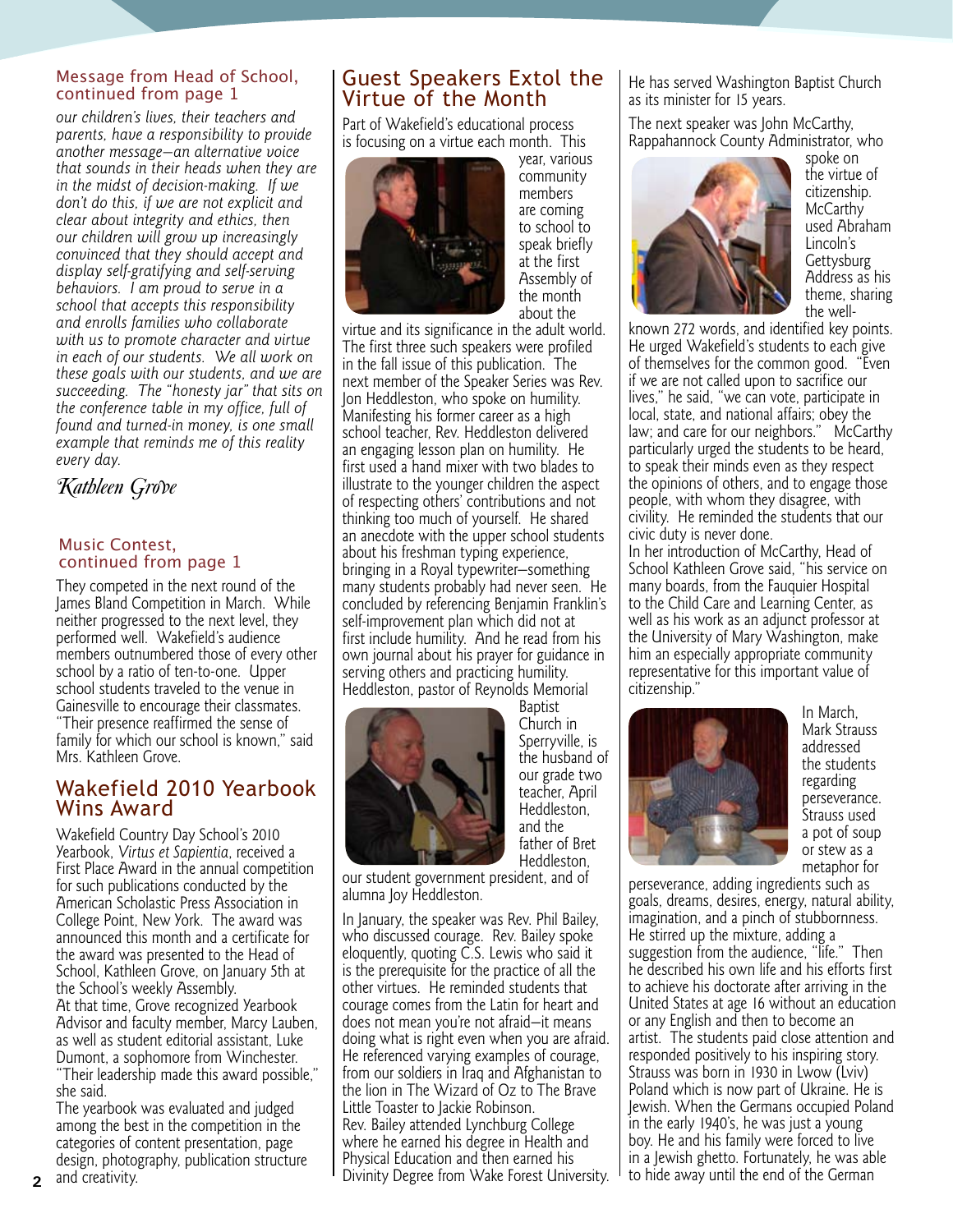#### Message from Head of School, continued from page 1

*our children's lives, their teachers and parents, have a responsibility to provide another message—an alternative voice that sounds in their heads when they are in the midst of decision-making. If we don't do this, if we are not explicit and clear about integrity and ethics, then our children will grow up increasingly convinced that they should accept and display self-gratifying and self-serving behaviors. I am proud to serve in a school that accepts this responsibility and enrolls families who collaborate with us to promote character and virtue in each of our students. We all work on these goals with our students, and we are succeeding. The "honesty jar" that sits on the conference table in my office, full of found and turned-in money, is one small example that reminds me of this reality every day.* 

Kathleen Grove

#### Music Contest, continued from page 1

They competed in the next round of the James Bland Competition in March. While neither progressed to the next level, they performed well. Wakefield's audience members outnumbered those of every other school by a ratio of ten-to-one. Upper school students traveled to the venue in Gainesville to encourage their classmates. "Their presence reaffirmed the sense of family for which our school is known," said Mrs. Kathleen Grove.

#### Wakefield 2010 Yearbook Wins Award

Wakefield Country Day School's 2010 Yearbook, *Virtus et Sapientia*, received a First Place Award in the annual competition for such publications conducted by the American Scholastic Press Association in College Point, New York. The award was announced this month and a certificate for the award was presented to the Head of School, Kathleen Grove, on January 5th at the School's weekly Assembly. At that time, Grove recognized Yearbook Advisor and faculty member, Marcy Lauben, as well as student editorial assistant, Luke Dumont, a sophomore from Winchester. "Their leadership made this award possible,"

she said. The yearbook was evaluated and judged among the best in the competition in the categories of content presentation, page design, photography, publication structure

### Guest Speakers Extol the Virtue of the Month

Part of Wakefield's educational process is focusing on a virtue each month. This



year, various community members are coming to school to speak briefly at the first Assembly of the month about the

virtue and its significance in the adult world. The first three such speakers were profiled in the fall issue of this publication. The next member of the Speaker Series was Rev. Jon Heddleston, who spoke on humility. Manifesting his former career as a high school teacher, Rev. Heddleston delivered an engaging lesson plan on humility. He first used a hand mixer with two blades to illustrate to the younger children the aspect of respecting others' contributions and not thinking too much of yourself. He shared an anecdote with the upper school students about his freshman typing experience, bringing in a Royal typewriter—something many students probably had never seen. He concluded by referencing Benjamin Franklin's self-improvement plan which did not at first include humility. And he read from his own journal about his prayer for guidance in serving others and practicing humility. Heddleston, pastor of Reynolds Memorial



Baptist Church in Sperryville, is the husband of our grade two teacher, April Heddleston, and the father of Bret Heddleston,

our student government president, and of alumna Joy Heddleston.

In January, the speaker was Rev. Phil Bailey, who discussed courage. Rev. Bailey spoke eloquently, quoting C.S. Lewis who said it is the prerequisite for the practice of all the other virtues. He reminded students that courage comes from the Latin for heart and does not mean you're not afraid—it means doing what is right even when you are afraid. He referenced varying examples of courage, from our soldiers in Iraq and Afghanistan to the lion in The Wizard of Oz to The Brave Little Toaster to Jackie Robinson. Rev. Bailey attended Lynchburg College where he earned his degree in Health and Physical Education and then earned his Divinity Degree from Wake Forest University. He has served Washington Baptist Church as its minister for 15 years.

The next speaker was John McCarthy, Rappahannock County Administrator, who



spoke on the virtue of citizenship. **McCarthy** used Abraham Lincoln's **Gettysburg** Address as his theme, sharing the well-

known 272 words, and identified key points. He urged Wakefield's students to each give of themselves for the common good. "Even if we are not called upon to sacrifice our lives," he said, "we can vote, participate in local, state, and national affairs; obey the law; and care for our neighbors." McCarthy particularly urged the students to be heard, to speak their minds even as they respect the opinions of others, and to engage those people, with whom they disagree, with civility. He reminded the students that our civic duty is never done. In her introduction of McCarthy, Head of School Kathleen Grove said, "his service on many boards, from the Fauquier Hospital to the Child Care and Learning Center, as well as his work as an adjunct professor at the University of Mary Washington, make him an especially appropriate community representative for this important value of citizenship."



In March, Mark Strauss addressed the students regarding perseverance. Strauss used a pot of soup or stew as a metaphor for

perseverance, adding ingredients such as goals, dreams, desires, energy, natural ability, imagination, and a pinch of stubbornness. He stirred up the mixture, adding a suggestion from the audience, "life." Then he described his own life and his efforts first to achieve his doctorate after arriving in the United States at age 16 without an education or any English and then to become an artist. The students paid close attention and responded positively to his inspiring story. Strauss was born in 1930 in Lwow (Lviv) Poland which is now part of Ukraine. He is Jewish. When the Germans occupied Poland in the early 1940's, he was just a young boy. He and his family were forced to live in a Jewish ghetto. Fortunately, he was able to hide away until the end of the German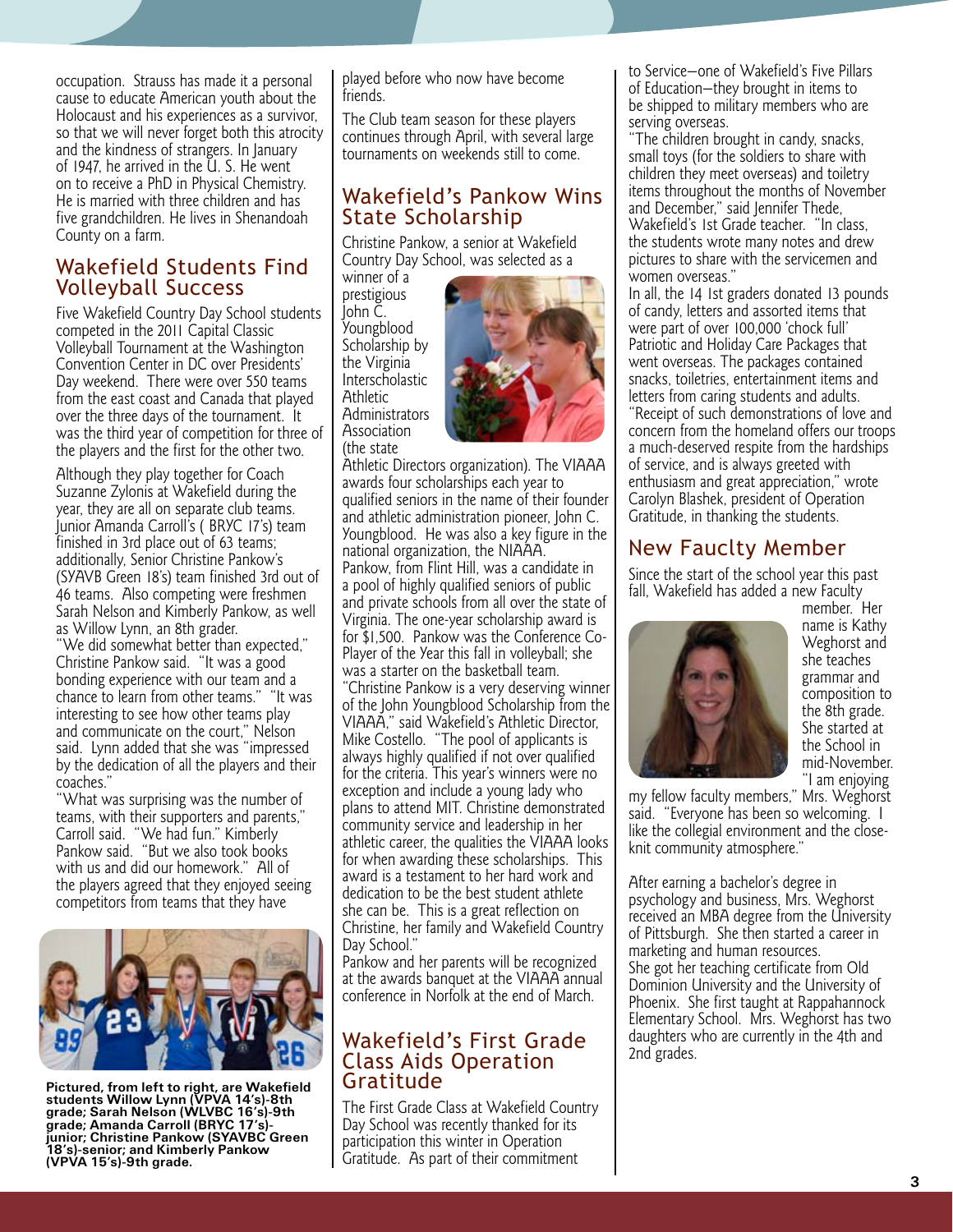occupation. Strauss has made it a personal cause to educate American youth about the Holocaust and his experiences as a survivor, so that we will never forget both this atrocity and the kindness of strangers. In January of 1947, he arrived in the U. S. He went on to receive a PhD in Physical Chemistry. He is married with three children and has five grandchildren. He lives in Shenandoah County on a farm.

#### Wakefield Students Find Volleyball Success

Five Wakefield Country Day School students competed in the 2011 Capital Classic Volleyball Tournament at the Washington Convention Center in DC over Presidents' Day weekend. There were over 550 teams from the east coast and Canada that played over the three days of the tournament. It was the third year of competition for three of the players and the first for the other two.

Although they play together for Coach Suzanne Zylonis at Wakefield during the year, they are all on separate club teams. Junior Amanda Carroll's ( BRYC 17's) team finished in 3rd place out of 63 teams; additionally, Senior Christine Pankow's (SYAVB Green 18's) team finished 3rd out of 46 teams. Also competing were freshmen Sarah Nelson and Kimberly Pankow, as well as Willow Lynn, an 8th grader.

"We did somewhat better than expected," Christine Pankow said. "It was a good bonding experience with our team and a chance to learn from other teams." "It was interesting to see how other teams play and communicate on the court," Nelson said. Lynn added that she was "impressed by the dedication of all the players and their coaches."

"What was surprising was the number of teams, with their supporters and parents," Carroll said. "We had fun." Kimberly Pankow said. "But we also took books with us and did our homework." All of the players agreed that they enjoyed seeing competitors from teams that they have



**Pictured, from left to right, are Wakefield students Willow Lynn (VPVA 14's)-8th grade; Sarah Nelson (WLVBC 16's)-9th grade; Amanda Carroll (BRYC 17's) junior; Christine Pankow (SYAVBC Green 18's)-senior; and Kimberly Pankow (VPVA 15's)-9th grade.**

played before who now have become friends.

The Club team season for these players continues through April, with several large tournaments on weekends still to come.

### Wakefield's Pankow Wins State Scholarship

Christine Pankow, a senior at Wakefield Country Day School, was selected as a

winner of a prestigious John C. Youngblood Scholarship by the Virginia Interscholastic **Athletic Administrators Association** (the state



Athletic Directors organization). The VIAAA awards four scholarships each year to qualified seniors in the name of their founder and athletic administration pioneer, John C. Youngblood. He was also a key figure in the national organization, the NIAAA. Pankow, from Flint Hill, was a candidate in a pool of highly qualified seniors of public and private schools from all over the state of Virginia. The one-year scholarship award is for \$1,500. Pankow was the Conference Co-Player of the Year this fall in volleyball; she was a starter on the basketball team. "Christine Pankow is a very deserving winner of the John Youngblood Scholarship from the VIAAA," said Wakefield's Athletic Director, Mike Costello. "The pool of applicants is always highly qualified if not over qualified for the criteria. This year's winners were no exception and include a young lady who plans to attend MIT. Christine demonstrated community service and leadership in her athletic career, the qualities the VIAAA looks for when awarding these scholarships. This award is a testament to her hard work and dedication to be the best student athlete she can be. This is a great reflection on Christine, her family and Wakefield Country Day School."

Pankow and her parents will be recognized at the awards banquet at the VIAAA annual conference in Norfolk at the end of March.

#### Wakefield's First Grade Class Aids Operation Gratitude

The First Grade Class at Wakefield Country Day School was recently thanked for its participation this winter in Operation Gratitude. As part of their commitment

to Service—one of Wakefield's Five Pillars of Education—they brought in items to be shipped to military members who are serving overseas.

"The children brought in candy, snacks, small toys (for the soldiers to share with children they meet overseas) and toiletry items throughout the months of November and December," said Jennifer Thede, Wakefield's 1st Grade teacher. "In class, the students wrote many notes and drew pictures to share with the servicemen and women overseas."

In all, the 14 1st graders donated 13 pounds of candy, letters and assorted items that were part of over 100,000 'chock full' Patriotic and Holiday Care Packages that went overseas. The packages contained snacks, toiletries, entertainment items and letters from caring students and adults. "Receipt of such demonstrations of love and concern from the homeland offers our troops a much-deserved respite from the hardships

of service, and is always greeted with enthusiasm and great appreciation," wrote Carolyn Blashek, president of Operation Gratitude, in thanking the students.

## New Fauclty Member

Since the start of the school year this past fall, Wakefield has added a new Faculty



member. Her name is Kathy Weghorst and she teaches grammar and composition to the 8th grade. She started at the School in mid-November. "I am enjoying

my fellow faculty members," Mrs. Weghorst said. "Everyone has been so welcoming. I like the collegial environment and the closeknit community atmosphere."

After earning a bachelor's degree in psychology and business, Mrs. Weghorst received an MBA degree from the University of Pittsburgh. She then started a career in marketing and human resources. She got her teaching certificate from Old Dominion University and the University of Phoenix. She first taught at Rappahannock Elementary School. Mrs. Weghorst has two daughters who are currently in the 4th and 2nd grades.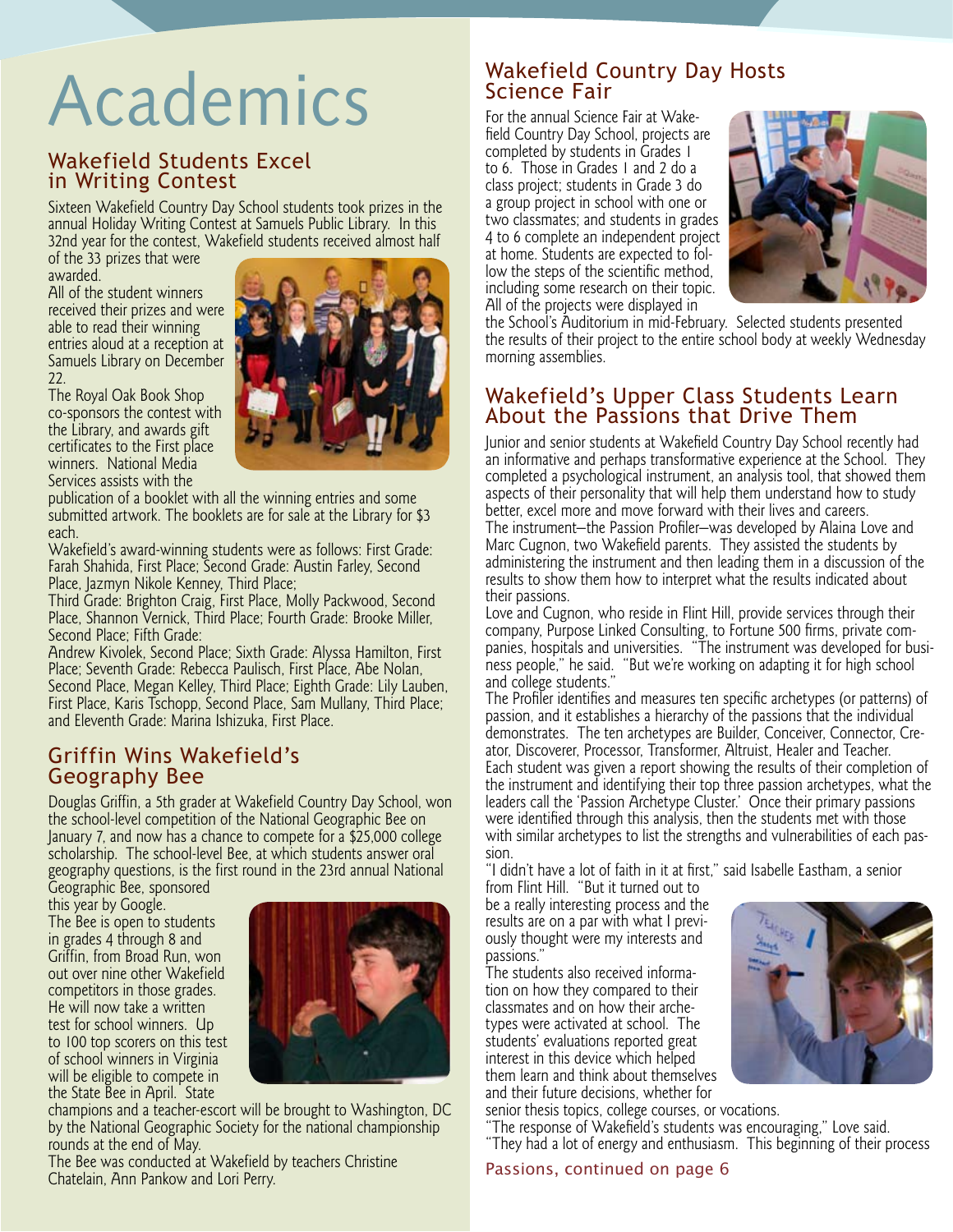## Academics

#### Wakefield Students Excel in Writing Contest

Sixteen Wakefield Country Day School students took prizes in the annual Holiday Writing Contest at Samuels Public Library. In this 32nd year for the contest, Wakefield students received almost half

of the 33 prizes that were awarded. All of the student winners

received their prizes and were able to read their winning entries aloud at a reception at Samuels Library on December 22.

The Royal Oak Book Shop co-sponsors the contest with the Library, and awards gift certificates to the First place winners. National Media Services assists with the

publication of a booklet with all the winning entries and some submitted artwork. The booklets are for sale at the Library for \$3 each.

Wakefield's award-winning students were as follows: First Grade: Farah Shahida, First Place; Second Grade: Austin Farley, Second Place, Jazmyn Nikole Kenney, Third Place;

Third Grade: Brighton Craig, First Place, Molly Packwood, Second Place, Shannon Vernick, Third Place; Fourth Grade: Brooke Miller, Second Place; Fifth Grade:

Andrew Kivolek, Second Place; Sixth Grade: Alyssa Hamilton, First Place; Seventh Grade: Rebecca Paulisch, First Place, Abe Nolan, Second Place, Megan Kelley, Third Place; Eighth Grade: Lily Lauben, First Place, Karis Tschopp, Second Place, Sam Mullany, Third Place; and Eleventh Grade: Marina Ishizuka, First Place.

### Griffin Wins Wakefield's Geography Bee

Douglas Griffin, a 5th grader at Wakefield Country Day School, won the school-level competition of the National Geographic Bee on January 7, and now has a chance to compete for a \$25,000 college scholarship. The school-level Bee, at which students answer oral geography questions, is the first round in the 23rd annual National

Geographic Bee, sponsored this year by Google. The Bee is open to students in grades 4 through 8 and Griffin, from Broad Run, won out over nine other Wakefield competitors in those grades. He will now take a written test for school winners. Up to 100 top scorers on this test of school winners in Virginia will be eligible to compete in the State Bee in April. State



champions and a teacher-escort will be brought to Washington, DC by the National Geographic Society for the national championship rounds at the end of May.

The Bee was conducted at Wakefield by teachers Christine Chatelain, Ann Pankow and Lori Perry.

### Wakefield Country Day Hosts Science Fair

For the annual Science Fair at Wake field Country Day School, projects are completed by students in Grades 1 to 6. Those in Grades 1 and 2 do a class project; students in Grade 3 do a group project in school with one or two classmates; and students in grades 4 to 6 complete an independent project at home. Students are expected to fol low the steps of the scientific method, including some research on their topic. All of the projects were displayed in



the School's Auditorium in mid-February. Selected students presented the results of their project to the entire school body at weekly Wednesday morning assemblies.

### Wakefield's Upper Class Students Learn About the Passions that Drive Them

Junior and senior students at Wakefield Country Day School recently had an informative and perhaps transformative experience at the School. They completed a psychological instrument, an analysis tool, that showed them aspects of their personality that will help them understand how to study better, excel more and move forward with their lives and careers. The instrument—the Passion Profiler—was developed by Alaina Love and Marc Cugnon, two Wakefield parents. They assisted the students by administering the instrument and then leading them in a discussion of the results to show them how to interpret what the results indicated about their passions.

Love and Cugnon, who reside in Flint Hill, provide services through their company, Purpose Linked Consulting, to Fortune 500 firms, private com panies, hospitals and universities. "The instrument was developed for busi ness people," he said. "But we're working on adapting it for high school and college students."

The Profiler identifies and measures ten specific archetypes (or patterns) of passion, and it establishes a hierarchy of the passions that the individual demonstrates. The ten archetypes are Builder, Conceiver, Connector, Cre ator, Discoverer, Processor, Transformer, Altruist, Healer and Teacher. Each student was given a report showing the results of their completion of the instrument and identifying their top three passion archetypes, what the leaders call the 'Passion Archetype Cluster.' Once their primary passions were identified through this analysis, then the students met with those with similar archetypes to list the strengths and vulnerabilities of each pas sion.

"I didn't have a lot of faith in it at first," said Isabelle Eastham, a senior from Flint Hill. "But it turned out to

be a really interesting process and the results are on a par with what I previ ously thought were my interests and passions."

The students also received informa tion on how they compared to their classmates and on how their arche types were activated at school. The students' evaluations reported great interest in this device which helped them learn and think about themselves and their future decisions, whether for

senior thesis topics, college courses, or vocations.

"The response of Wakefield's students was encouraging," Love said. "They had a lot of energy and enthusiasm. This beginning of their process

#### Passions, continued on page 6

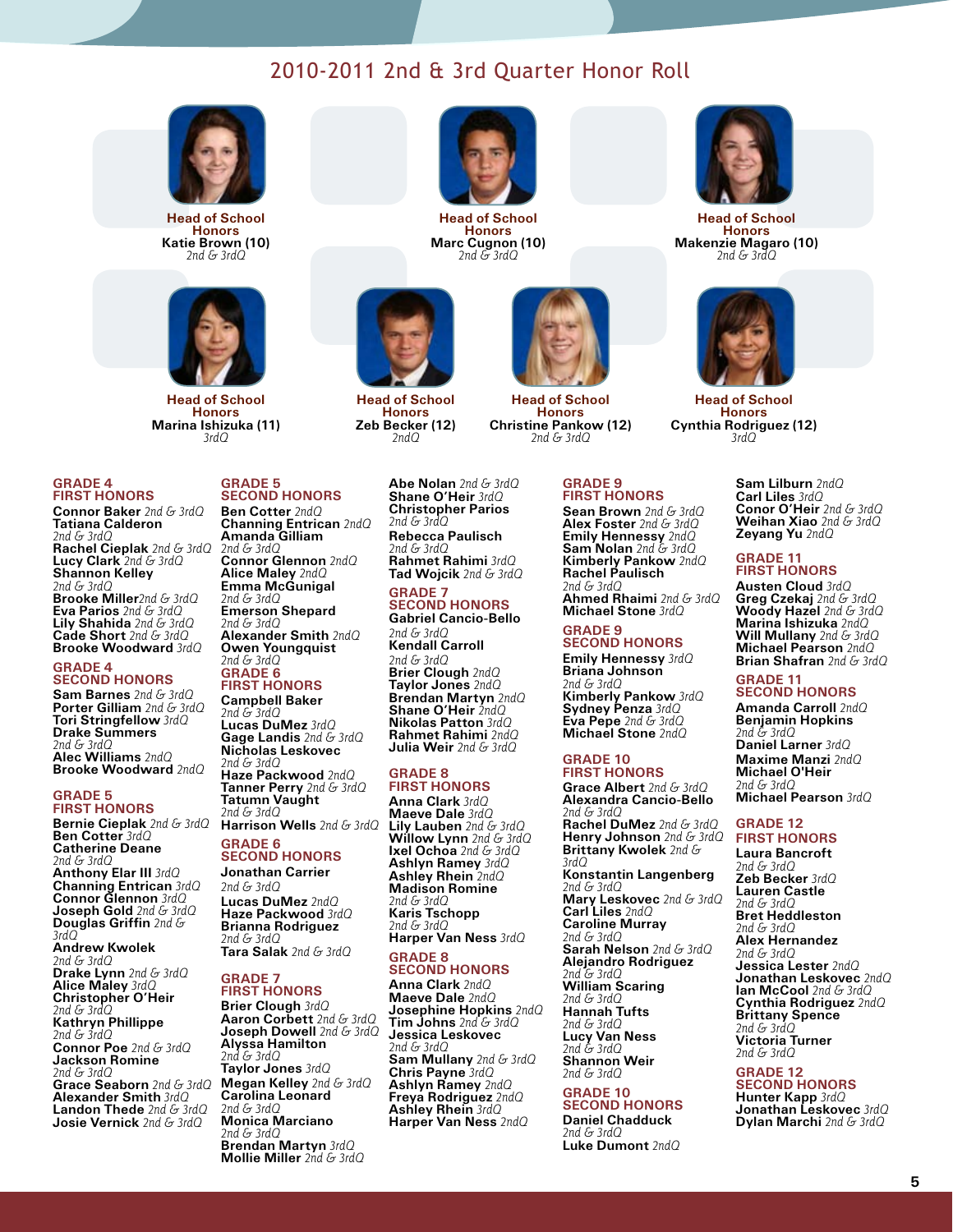### 2010-2011 2nd & 3rd Quarter Honor Roll



**Head of School Honors Katie Brown (10)** *2nd & 3rdQ*



**Head of School Honors Marina Ishizuka (11)** *3rdQ*

#### **GRADE 4 FIRST HONORS**

**Connor Baker** *2nd & 3rdQ* **Tatiana Calderon** *2nd & 3rdQ* **Rachel Cieplak** *2nd & 3rdQ* **Lucy Clark** *2nd & 3rdQ* **Shannon Kelley** *2nd & 3rdQ* **Brooke Miller***2nd & 3rdQ* **Eva Parios** *2nd & 3rdQ* **Lily Shahida** *2nd & 3rdQ* **Cade Short** *2nd & 3rdQ* **Brooke Woodward** *3rdQ*

#### **GRADE 4 SECOND HONORS**

**Sam Barnes** *2nd & 3rdQ* **Porter Gilliam** *2nd & 3rdQ* **Tori Stringfellow** *3rdQ* **Drake Summers** *2nd & 3rdQ* **Alec Williams** *2ndQ* **Brooke Woodward** *2ndQ*

#### **GRADE 5 FIRST HONORS**

**Harrison Wells** *2nd & 3rdQ* **Bernie Cieplak** *2nd & 3rdQ* **Ben Cotter** *3rdQ*  **Catherine Deane**  *2nd & 3rdQ* **Anthony Elar III** *3rdQ* **Channing Entrican** *3rdQ* **Connor Glennon** *3rdQ* **Joseph Gold** *2nd & 3rdQ*  **Douglas Griffin** *2nd & 3rdQ* **Andrew Kwolek** *2nd & 3rdQ* **Drake Lynn** *2nd & 3rdQ* **Alice Maley** *3rdQ* **Christopher O'Heir** *2nd & 3rdQ* **Kathryn Phillippe** *2nd & 3rdQ* **Connor Poe** *2nd & 3rdQ* **Jackson Romine** *2nd & 3rdQ* **Grace Seaborn** *2nd & 3rdQ* **Alexander Smith** *3rdQ*  **Landon Thede** *2nd & 3rdQ* **Josie Vernick** *2nd & 3rdQ*

#### **GRADE 5 SECOND HONORS**

**Ben Cotter** *2ndQ*  **Channing Entrican** *2ndQ* **Amanda Gilliam** *2nd & 3rdQ* **Connor Glennon** *2ndQ* **Alice Maley** *2ndQ* **Emma McGunigal** *2nd & 3rdQ* **Emerson Shepard** *2nd & 3rdQ* **Alexander Smith** *2ndQ* **Owen Youngquist** 

#### *2nd & 3rdQ* **GRADE 6 FIRST HONORS**

**Campbell Baker**  *2nd & 3rdQ* **Lucas DuMez** *3rdQ* **Gage Landis** *2nd & 3rdQ* **Nicholas Leskovec** *2nd & 3rdQ* **Haze Packwood** *2ndQ* **Tanner Perry** *2nd & 3rdQ* **Tatumn Vaught** *2nd & 3rdQ*

#### **GRADE 6 SECOND HONORS**

**Jonathan Carrier** *2nd & 3rdQ* **Lucas DuMez** *2ndQ* **Haze Packwood** *3rdQ* **Brianna Rodriguez** *2nd & 3rdQ* **Tara Salak** *2nd & 3rdQ*

#### **GRADE 7 FIRST HONORS**

**Brier Clough** *3rdQ* **Aaron Corbett** *2nd & 3rdQ* **Joseph Dowell** *2nd & 3rdQ* **Alyssa Hamilton** *2nd & 3rdQ* **Taylor Jones** *3rdQ* **Megan Kelley** *2nd & 3rdQ* **Carolina Leonard**  *2nd & 3rdQ* **Monica Marciano**  *2nd & 3rdQ* **Brendan Martyn** *3rdQ* **Mollie Miller** *2nd & 3rdQ*



**Honors Marc Cugnon (10)** *2nd & 3rd<sup>Q</sup>*



**Head of School Honors Zeb Becker (12)** *2ndQ*

> **Abe Nolan** *2nd & 3rdQ* **Shane O'Heir** *3rdQ* **Christopher Parios** *2nd & 3rdQ*

**Rebecca Paulisch** *2nd & 3rdQ* **Rahmet Rahimi** *3rdQ*

**Tad Wojcik** *2nd & 3rdQ* **GRADE 7 SECOND HONORS**

**Gabriel Cancio-Bello** *2nd & 3rdQ* **Kendall Carroll** *2nd & 3rdQ* **Brier Clough** *2ndQ* **Taylor Jones** *2ndQ* **Brendan Martyn** *2ndQ* **Shane O'Heir** *2ndQ* **Nikolas Patton** *3rdQ* **Rahmet Rahimi** *2ndQ* **Julia Weir** *2nd & 3rdQ*

#### **GRADE 8**

**FIRST HONORS Anna Clark** *3rdQ* **Maeve Dale** *3rdQ* **Lily Lauben** *2nd & 3rdQ* **Willow Lynn** *2nd & 3rdQ* **Ixel Ochoa** *2nd & 3rdQ* **Ashlyn Ramey** *3rdQ* **Ashley Rhein** *2ndQ* **Madison Romine**  *2nd & 3rdQ* **Karis Tschopp** *2nd & 3rdQ* **Harper Van Ness** *3rdQ*

#### **GRADE 8 SECOND HONORS**

**Anna Clark** *2ndQ* **Maeve Dale** *2ndQ* **Josephine Hopkins** *2ndQ* **Tim Johns** *2nd & 3rdQ* **Jessica Leskovec** *2nd & 3rdQ* **Sam Mullany** *2nd & 3rdQ* **Chris Payne** *3rdQ* **Ashlyn Ramey** *2ndQ* **Freya Rodriguez** *2ndQ* **Ashley Rhein** *3rdQ* **Harper Van Ness** *2ndQ*



**Head of School** 



**Head of School Honors Christine Pankow (12)** *2nd & 3rdQ*

#### **GRADE 9 FIRST HONORS**

**Sean Brown** *2nd & 3rdQ* **Alex Foster** *2nd & 3rdQ* **Emily Hennessy** *2ndQ* **Sam Nolan** *2nd & 3rdQ* **Kimberly Pankow** *2ndQ* **Rachel Paulisch** *2nd & 3rdQ* **Ahmed Rhaimi** *2nd & 3rdQ*

**Michael Stone** *3rdQ* **GRADE 9**

## **SECOND HONORS**

**Emily Hennessy** *3rdQ* **Briana Johnson** *2nd & 3rdQ* **Kimberly Pankow** *3rdQ* **Sydney Penza** *3rdQ* **Eva Pepe** *2nd & 3rdQ* **Michael Stone** *2ndQ*

#### **GRADE 10 FIRST HONORS**

**Grace Albert** *2nd & 3rdQ* **Alexandra Cancio-Bello** *2nd & 3rdQ* **Rachel DuMez** *2nd & 3rdQ* **Henry Johnson** *2nd & 3rdQ* **Brittany Kwolek** *2nd & 3rdQ* **Konstantin Langenberg** *2nd & 3rdQ* **Mary Leskovec** *2nd & 3rdQ* **Carl Liles** *2ndQ* **Caroline Murray** *2nd & 3rdQ* **Sarah Nelson** *2nd & 3rdQ* **Alejandro Rodriguez** *2nd & 3rdQ* **William Scaring** *2nd & 3rdQ*  **Hannah Tufts** *2nd & 3rdQ* **Lucy Van Ness** *2nd & 3rdQ* **Shannon Weir** *2nd & 3rdQ*

#### **GRADE 10**

**SECOND HONORS Daniel Chadduck** *2nd & 3rdQ*



**Head of School Honors Makenzie Magaro (10)** *2nd & 3rd<sup>Q</sup>*



**Head of School Honors Cynthia Rodriguez (12)** *3rdQ*

> **Sam Lilburn** *2ndQ* **Carl Liles** *3rdQ* **Conor O'Heir** *2nd & 3rdQ* **Weihan Xiao** *2nd & 3rdQ* **Zeyang Yu** *2ndQ*

#### **GRADE 11 FIRST HONORS**

**Austen Cloud** *3rdQ* **Greg Czekaj** *2nd & 3rdQ* **Woody Hazel** *2nd & 3rdQ* **Marina Ishizuka** *2ndQ* **Will Mullany** *2nd & 3rdQ* **Michael Pearson** *2ndQ* **Brian Shafran** *2nd & 3rdQ*

#### **GRADE 11 SECOND HONORS**

**Amanda Carroll** *2ndQ* **Benjamin Hopkins** *2nd & 3rdQ* **Daniel Larner** *3rdQ* **Maxime Manzi** *2ndQ* **Michael O'Heir** *2nd & 3rdQ* **Michael Pearson** *3rdQ*

#### **GRADE 12 FIRST HONORS**

**Laura Bancroft** *2nd & 3rdQ*  **Zeb Becker** *3rdQ* **Lauren Castle** *2nd & 3rdQ* **Bret Heddleston** *2nd & 3rdQ* **Alex Hernandez** *2nd & 3rdQ* **Jessica Lester** *2ndQ* **Jonathan Leskovec** *2ndQ* **Ian McCool** *2nd & 3rdQ* **Cynthia Rodriguez** *2ndQ* **Brittany Spence** *2nd & 3rdQ* **Victoria Turner** *2nd & 3rdQ*

#### **GRADE 12**

**SECOND HONORS Hunter Kapp** *3rdQ* **Jonathan Leskovec** *3rdQ* **Dylan Marchi** *2nd & 3rdQ*

**Luke Dumont** *2ndQ*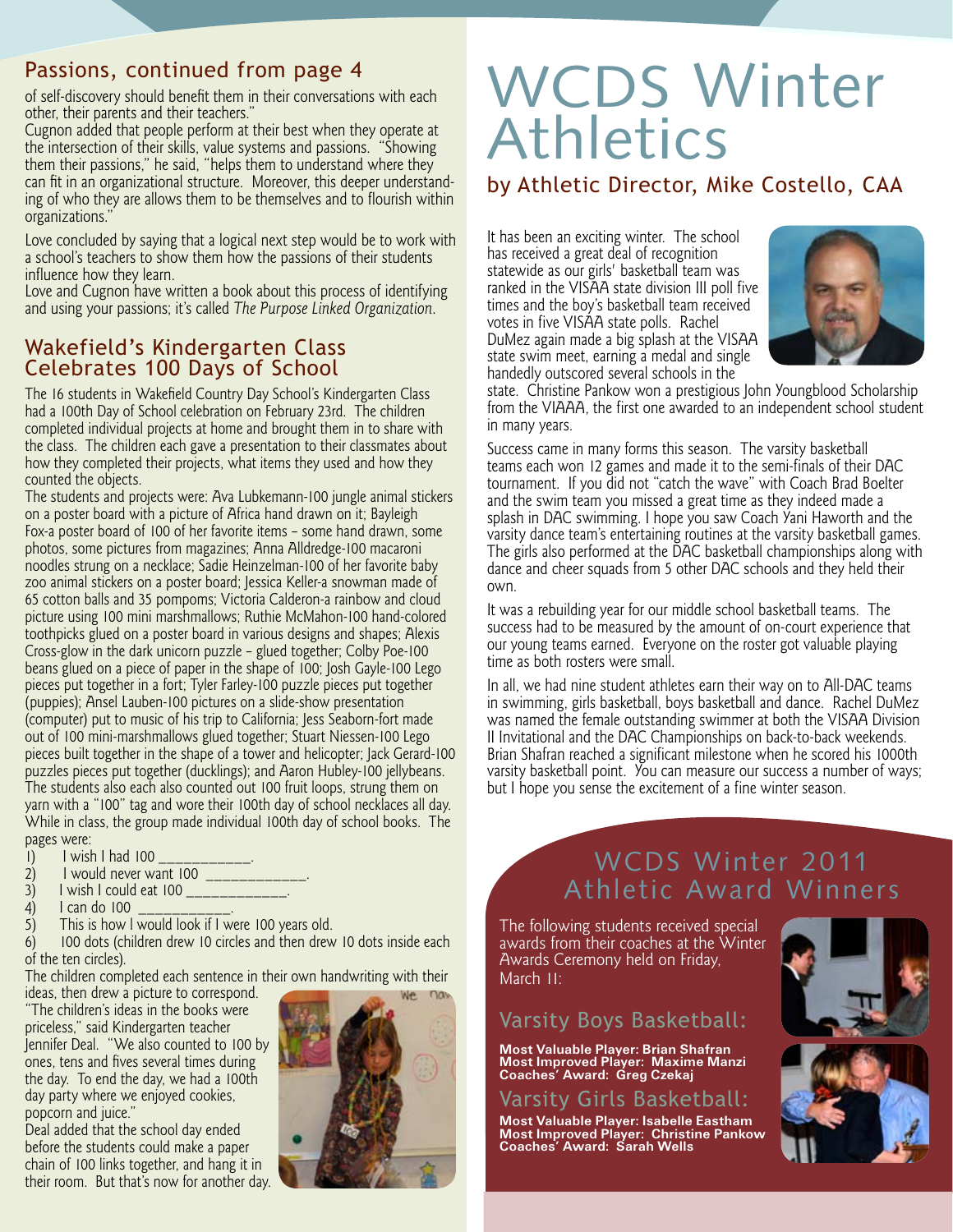## Passions, continued from page 4

of self-discovery should benefit them in their conversations with each other, their parents and their teachers."

Cugnon added that people perform at their best when they operate at the intersection of their skills, value systems and passions. "Showing them their passions," he said, "helps them to understand where they can fit in an organizational structure. Moreover, this deeper understand ing of who they are allows them to be themselves and to flourish within organizations."

Love concluded by saying that a logical next step would be to work with a school's teachers to show them how the passions of their students influence how they learn.

Love and Cugnon have written a book about this process of identifying and using your passions; it's called *The Purpose Linked Organization*.

## Wakefield's Kindergarten Class Celebrates 100 Days of School

The 16 students in Wakefield Country Day School's Kindergarten Class had a 100th Day of School celebration on February 23rd. The children completed individual projects at home and brought them in to share with the class. The children each gave a presentation to their classmates about how they completed their projects, what items they used and how they counted the objects.

The students and projects were: Ava Lubkemann-100 jungle animal stickers on a poster board with a picture of Africa hand drawn on it; Bayleigh Fox-a poster board of 100 of her favorite items – some hand drawn, some photos, some pictures from magazines; Anna Alldredge-100 macaroni noodles strung on a necklace; Sadie Heinzelman-100 of her favorite baby zoo animal stickers on a poster board; Jessica Keller-a snowman made of 65 cotton balls and 35 pompoms; Victoria Calderon-a rainbow and cloud picture using 100 mini marshmallows; Ruthie McMahon-100 hand-colored toothpicks glued on a poster board in various designs and shapes; Alexis Cross-glow in the dark unicorn puzzle – glued together; Colby Poe-100 beans glued on a piece of paper in the shape of 100; Josh Gayle-100 Lego pieces put together in a fort; Tyler Farley-100 puzzle pieces put together (puppies); Ansel Lauben-100 pictures on a slide-show presentation (computer) put to music of his trip to California; Jess Seaborn-fort made out of 100 mini-marshmallows glued together; Stuart Niessen-100 Lego pieces built together in the shape of a tower and helicopter; Jack Gerard-100 puzzles pieces put together (ducklings); and Aaron Hubley-100 jellybeans. The students also each also counted out 100 fruit loops, strung them on yarn with a "100" tag and wore their 100th day of school necklaces all day. While in class, the group made individual 100th day of school books. The pages were:

- 1) I wish I had 100<br>2) I would never wa
- 2) I would never want 100<br>3) I wish I could eat 100
- 3) I wish I could eat 100 \_\_\_\_\_\_\_\_\_\_\_\_.
- 4)  $\vert$  1 can do 100  $\vert$ <br>5) This is how 1 v
- 5) This is how I would look if I were 100 years old.<br>6) 100 dots (children drew 10 circles and then drew

100 dots (children drew 10 circles and then drew 10 dots inside each of the ten circles).

The children completed each sentence in their own handwriting with their

ideas, then drew a picture to correspond. "The children's ideas in the books were priceless," said Kindergarten teacher Jennifer Deal. "We also counted to 100 by ones, tens and fives several times during the day. To end the day, we had a 100th day party where we enjoyed cookies, popcorn and juice."

**6** their room. But that's now for another day.Deal added that the school day ended before the students could make a paper chain of 100 links together, and hang it in



## WCDS Winter Athletics

## by Athletic Director, Mike Costello, CAA

It has been an exciting winter. The school has received a great deal of recognition statewide as our girls' basketball team was ranked in the VISAA state division III poll five times and the boy's basketball team received votes in five VISAA state polls. Rachel DuMez again made a big splash at the VISAA state swim meet, earning a medal and single handedly outscored several schools in the



state. Christine Pankow won a prestigious John Youngblood Scholarship from the VIAAA, the first one awarded to an independent school student in many years.

Success came in many forms this season. The varsity basketball teams each won 12 games and made it to the semi-finals of their DAC tournament. If you did not "catch the wave" with Coach Brad Boelter and the swim team you missed a great time as they indeed made a splash in DAC swimming. I hope you saw Coach Yani Haworth and the varsity dance team's entertaining routines at the varsity basketball games. The girls also performed at the DAC basketball championships along with dance and cheer squads from 5 other DAC schools and they held their own.

It was a rebuilding year for our middle school basketball teams. The success had to be measured by the amount of on-court experience that our young teams earned. Everyone on the roster got valuable playing time as both rosters were small.

In all, we had nine student athletes earn their way on to All-DAC teams in swimming, girls basketball, boys basketball and dance. Rachel DuMez was named the female outstanding swimmer at both the VISAA Division II Invitational and the DAC Championships on back-to-back weekends. Brian Shafran reached a significant milestone when he scored his 1000th varsity basketball point. You can measure our success a number of ways; but I hope you sense the excitement of a fine winter season.

## WCDS Winter 2011 Athletic Award Winners

The following students received special awards from their coaches at the Winter Awards Ceremony held on Friday, March II:

## Varsity Boys Basketball:

**Most Valuable Player: Brian Shafran Most Improved Player: Maxime Manzi Coaches' Award: Greg Czekaj**

Varsity Girls Basketball:

**Most Valuable Player: Isabelle Eastham Most Improved Player: Christine Pankow Coaches' Award: Sarah Wells**



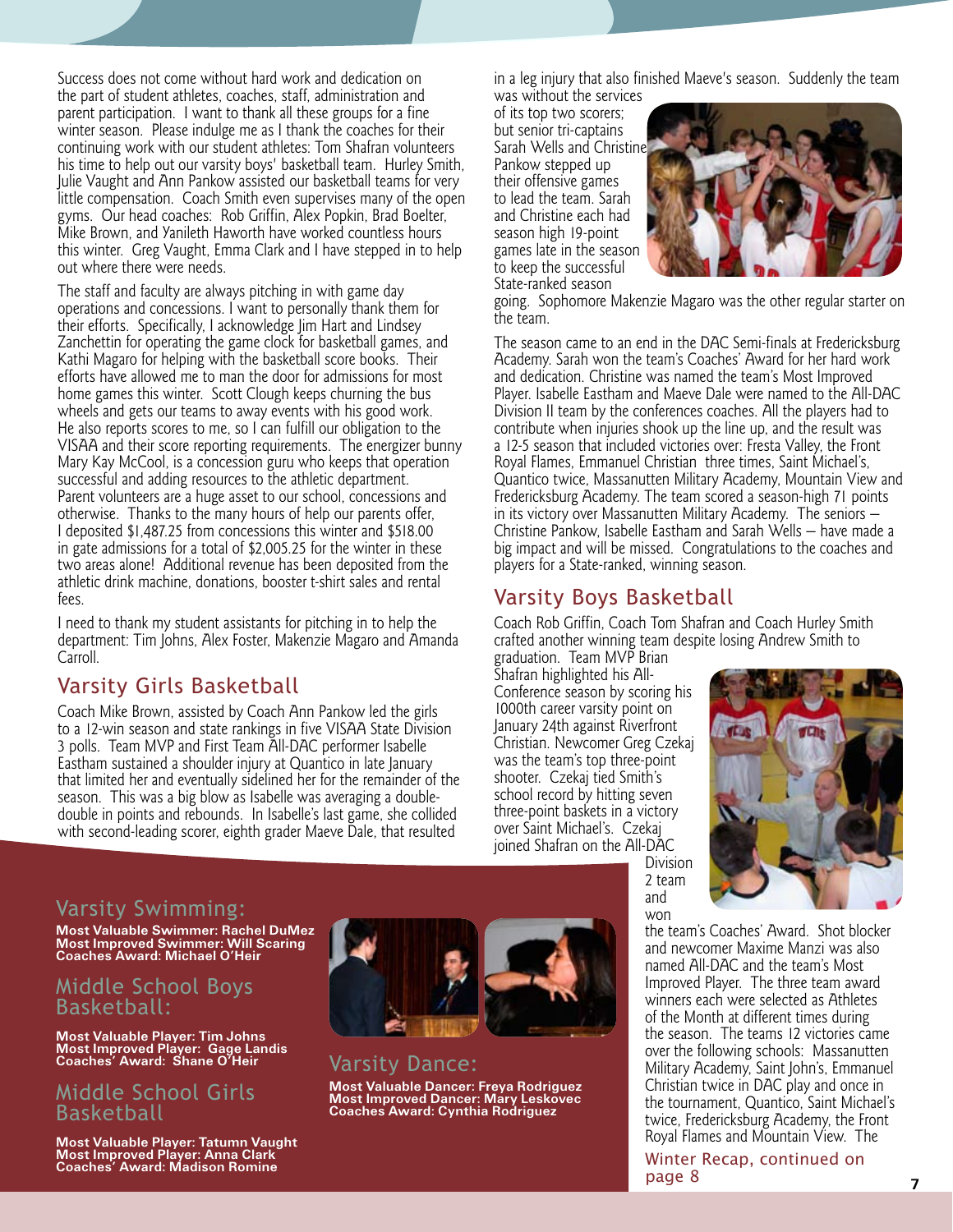Success does not come without hard work and dedication on the part of student athletes, coaches, staff, administration and parent participation. I want to thank all these groups for a fine winter season. Please indulge me as I thank the coaches for their continuing work with our student athletes: Tom Shafran volunteers his time to help out our varsity boys' basketball team. Hurley Smith, Julie Vaught and Ann Pankow assisted our basketball teams for very little compensation. Coach Smith even supervises many of the open gyms. Our head coaches: Rob Griffin, Alex Popkin, Brad Boelter, Mike Brown, and Yanileth Haworth have worked countless hours this winter. Greg Vaught, Emma Clark and I have stepped in to help out where there were needs.

The staff and faculty are always pitching in with game day operations and concessions. I want to personally thank them for their efforts. Specifically, I acknowledge Jim Hart and Lindsey Zanchettin for operating the game clock for basketball games, and Kathi Magaro for helping with the basketball score books. Their efforts have allowed me to man the door for admissions for most home games this winter. Scott Clough keeps churning the bus wheels and gets our teams to away events with his good work. He also reports scores to me, so I can fulfill our obligation to the VISAA and their score reporting requirements. The energizer bunny Mary Kay McCool, is a concession guru who keeps that operation successful and adding resources to the athletic department. Parent volunteers are a huge asset to our school, concessions and otherwise. Thanks to the many hours of help our parents offer, I deposited \$1,487.25 from concessions this winter and \$518.00 in gate admissions for a total of \$2,005.25 for the winter in these two areas alone! Additional revenue has been deposited from the athletic drink machine, donations, booster t-shirt sales and rental fees.

I need to thank my student assistants for pitching in to help the department: Tim Johns, Alex Foster, Makenzie Magaro and Amanda Carroll.

## Varsity Girls Basketball

Coach Mike Brown, assisted by Coach Ann Pankow led the girls to a 12-win season and state rankings in five VISAA State Division 3 polls. Team MVP and First Team All-DAC performer Isabelle Eastham sustained a shoulder injury at Quantico in late January that limited her and eventually sidelined her for the remainder of the season. This was a big blow as Isabelle was averaging a doubledouble in points and rebounds. In Isabelle's last game, she collided with second-leading scorer, eighth grader Maeve Dale, that resulted

in a leg injury that also finished Maeve's season. Suddenly the team was without the services

of its top two scorers; but senior tri-captains Sarah Wells and Christine Pankow stepped up their offensive games to lead the team. Sarah and Christine each had season high 19-point games late in the season to keep the successful State-ranked season



going. Sophomore Makenzie Magaro was the other regular starter on the team.

The season came to an end in the DAC Semi-finals at Fredericksburg Academy. Sarah won the team's Coaches' Award for her hard work and dedication. Christine was named the team's Most Improved Player. Isabelle Eastham and Maeve Dale were named to the All-DAC Division II team by the conferences coaches. All the players had to contribute when injuries shook up the line up, and the result was a 12-5 season that included victories over: Fresta Valley, the Front Royal Flames, Emmanuel Christian three times, Saint Michael's, Quantico twice, Massanutten Military Academy, Mountain View and Fredericksburg Academy. The team scored a season-high 71 points in its victory over Massanutten Military Academy. The seniors — Christine Pankow, Isabelle Eastham and Sarah Wells — have made a big impact and will be missed. Congratulations to the coaches and players for a State-ranked, winning season.

## Varsity Boys Basketball

Coach Rob Griffin, Coach Tom Shafran and Coach Hurley Smith crafted another winning team despite losing Andrew Smith to graduation. Team MVP Brian

> 2 team and won

Shafran highlighted his All-Conference season by scoring his 1000th career varsity point on January 24th against Riverfront Christian. Newcomer Greg Czekaj was the team's top three-point shooter. Czekaj tied Smith's school record by hitting seven three-point baskets in a victory over Saint Michael's. Czekaj joined Shafran on the All-DAC Division



## Varsity Swimming:

**Most Valuable Swimmer: Rachel DuMez Most Improved Swimmer: Will Scaring Coaches Award: Michael O'Heir**

#### Middle School Boys Basketball:

**Most Valuable Player: Tim Johns Most Improved Player: Gage Landis Coaches' Award: Shane O'Heir**

#### Middle School Girls Basketball

**Most Valuable Player: Tatumn Vaught Most Improved Player: Anna Clark Coaches' Award: Madison Romine**



Varsity Dance: **Most Valuable Dancer: Freya Rodriguez Most Improved Dancer: Mary Leskovec Coaches Award: Cynthia Rodriguez**

the team's Coaches' Award. Shot blocker and newcomer Maxime Manzi was also named All-DAC and the team's Most Improved Player. The three team award winners each were selected as Athletes of the Month at different times during the season. The teams 12 victories came over the following schools: Massanutten Military Academy, Saint John's, Emmanuel Christian twice in DAC play and once in the tournament, Quantico, Saint Michael's twice, Fredericksburg Academy, the Front Royal Flames and Mountain View. The

Winter Recap, continued on page 8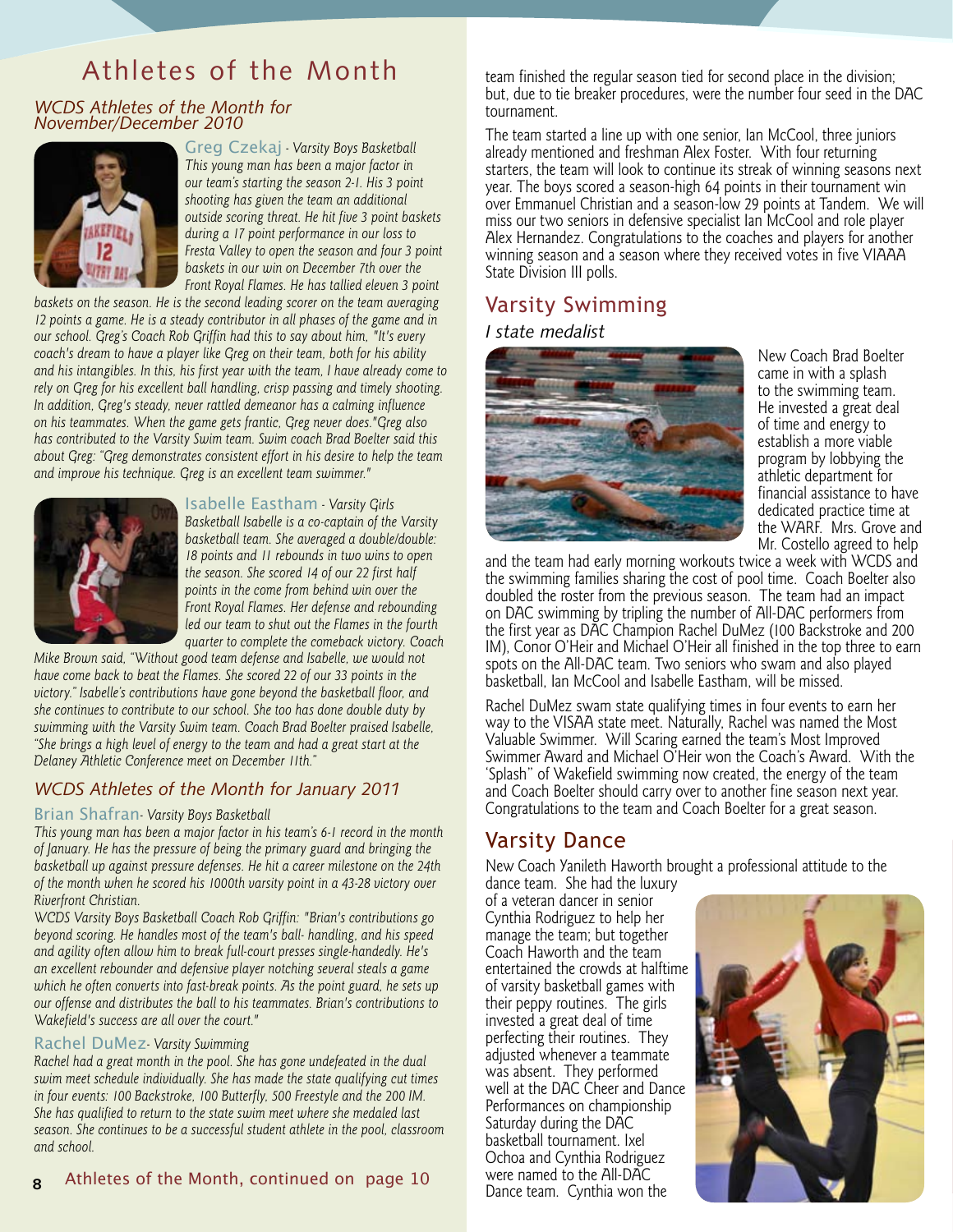## Athletes of the Month team finished the regular season tied for second place in the division;

*WCDS Athletes of the Month for November/December 2010*



Greg Czekaj *- Varsity Boys Basketball This young man has been a major factor in our team's starting the season 2-1. His 3 point shooting has given the team an additional outside scoring threat. He hit five 3 point baskets during a 17 point performance in our loss to Fresta Valley to open the season and four 3 point baskets in our win on December 7th over the Front Royal Flames. He has tallied eleven 3 point* 

*baskets on the season. He is the second leading scorer on the team averaging 12 points a game. He is a steady contributor in all phases of the game and in our school. Greg's Coach Rob Griffin had this to say about him, "It's every coach's dream to have a player like Greg on their team, both for his ability and his intangibles. In this, his first year with the team, I have already come to rely on Greg for his excellent ball handling, crisp passing and timely shooting. In addition, Greg's steady, never rattled demeanor has a calming influence on his teammates. When the game gets frantic, Greg never does."Greg also has contributed to the Varsity Swim team. Swim coach Brad Boelter said this about Greg: "Greg demonstrates consistent effort in his desire to help the team and improve his technique. Greg is an excellent team swimmer."*



Isabelle Eastham *- Varsity Girls Basketball Isabelle is a co-captain of the Varsity basketball team. She averaged a double/double: 18 points and 11 rebounds in two wins to open the season. She scored 14 of our 22 first half points in the come from behind win over the Front Royal Flames. Her defense and rebounding led our team to shut out the Flames in the fourth quarter to complete the comeback victory. Coach* 

*Mike Brown said, "Without good team defense and Isabelle, we would not have come back to beat the Flames. She scored 22 of our 33 points in the victory." Isabelle's contributions have gone beyond the basketball floor, and she continues to contribute to our school. She too has done double duty by swimming with the Varsity Swim team. Coach Brad Boelter praised Isabelle, "She brings a high level of energy to the team and had a great start at the Delaney Athletic Conference meet on December 11th."*

#### *WCDS Athletes of the Month for January 2011*

#### Brian Shafran*- Varsity Boys Basketball*

*This young man has been a major factor in his team's 6-1 record in the month of January. He has the pressure of being the primary guard and bringing the basketball up against pressure defenses. He hit a career milestone on the 24th of the month when he scored his 1000th varsity point in a 43-28 victory over Riverfront Christian.*

*WCDS Varsity Boys Basketball Coach Rob Griffin: "Brian's contributions go beyond scoring. He handles most of the team's ball- handling, and his speed and agility often allow him to break full-court presses single-handedly. He's an excellent rebounder and defensive player notching several steals a game which he often converts into fast-break points. As the point guard, he sets up our offense and distributes the ball to his teammates. Brian's contributions to Wakefield's success are all over the court."*

#### Rachel DuMez*- Varsity Swimming*

*Rachel had a great month in the pool. She has gone undefeated in the dual swim meet schedule individually. She has made the state qualifying cut times in four events: 100 Backstroke, 100 Butterfly, 500 Freestyle and the 200 IM. She has qualified to return to the state swim meet where she medaled last season. She continues to be a successful student athlete in the pool, classroom and school.*

but, due to tie breaker procedures, were the number four seed in the DAC tournament.

The team started a line up with one senior, Ian McCool, three juniors already mentioned and freshman Alex Foster. With four returning starters, the team will look to continue its streak of winning seasons next year. The boys scored a season-high 64 points in their tournament win over Emmanuel Christian and a season-low 29 points at Tandem. We will miss our two seniors in defensive specialist Ian McCool and role player Alex Hernandez. Congratulations to the coaches and players for another winning season and a season where they received votes in five VIAAA State Division III polls.

## Varsity Swimming

#### *I state medalist*



New Coach Brad Boelter came in with a splash to the swimming team. He invested a great deal of time and energy to establish a more viable program by lobbying the athletic department for financial assistance to have dedicated practice time at the WARF. Mrs. Grove and Mr. Costello agreed to help

and the team had early morning workouts twice a week with WCDS and the swimming families sharing the cost of pool time. Coach Boelter also doubled the roster from the previous season. The team had an impact on DAC swimming by tripling the number of All-DAC performers from the first year as DAC Champion Rachel DuMez (100 Backstroke and 200 IM), Conor O'Heir and Michael O'Heir all finished in the top three to earn spots on the All-DAC team. Two seniors who swam and also played basketball, Ian McCool and Isabelle Eastham, will be missed.

Rachel DuMez swam state qualifying times in four events to earn her way to the VISAA state meet. Naturally, Rachel was named the Most Valuable Swimmer. Will Scaring earned the team's Most Improved Swimmer Award and Michael O'Heir won the Coach's Award. With the 'Splash" of Wakefield swimming now created, the energy of the team and Coach Boelter should carry over to another fine season next year. Congratulations to the team and Coach Boelter for a great season.

## Varsity Dance

New Coach Yanileth Haworth brought a professional attitude to the

dance team. She had the luxury of a veteran dancer in senior Cynthia Rodriguez to help her manage the team; but together Coach Haworth and the team entertained the crowds at halftime of varsity basketball games with their peppy routines. The girls invested a great deal of time perfecting their routines. They adjusted whenever a teammate was absent. They performed well at the DAC Cheer and Dance Performances on championship Saturday during the DAC basketball tournament. Ixel Ochoa and Cynthia Rodriguez were named to the All-DAC<br>Dance team. Cynthia won the

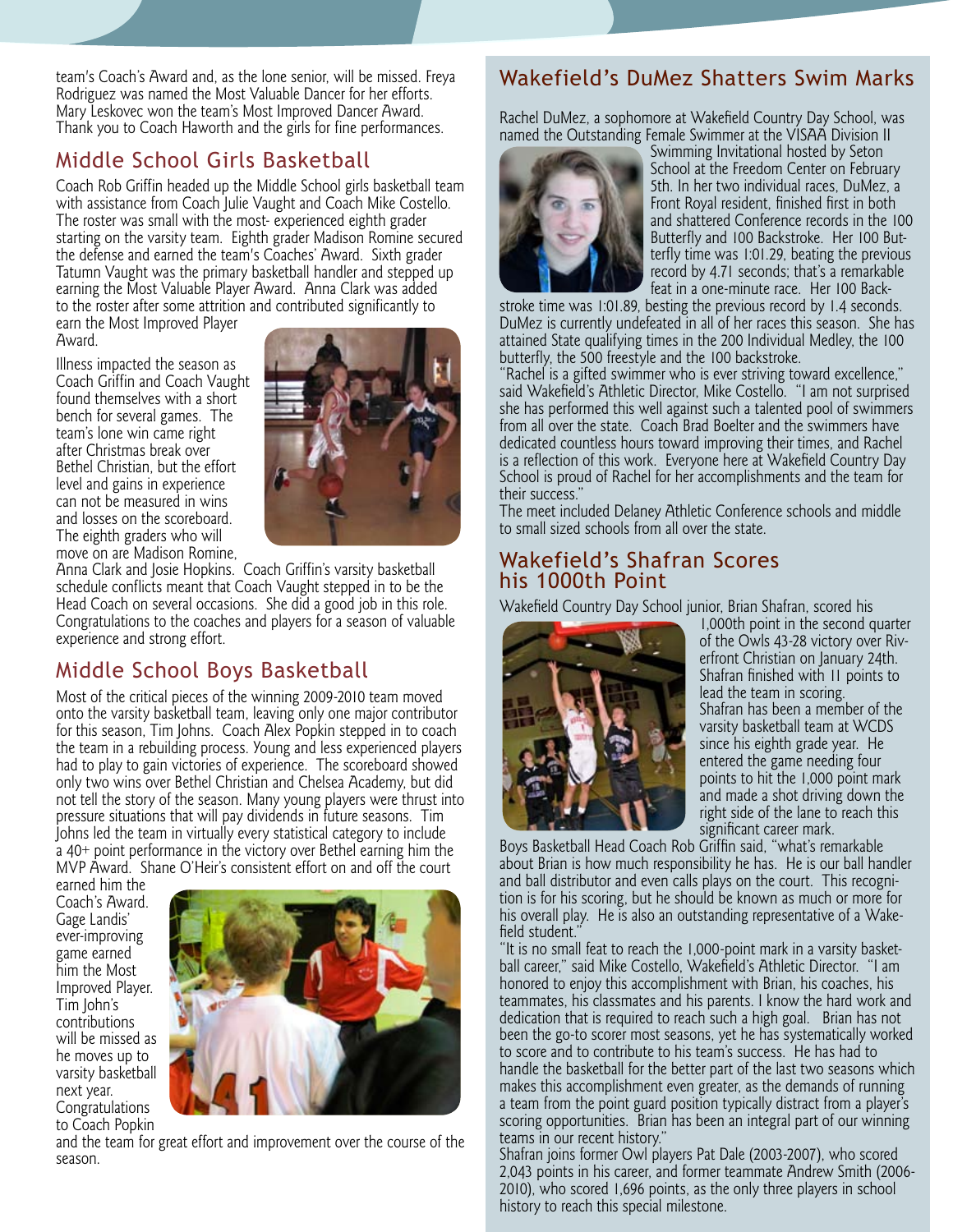team's Coach's Award and, as the lone senior, will be missed. Freya Rodriguez was named the Most Valuable Dancer for her efforts. Mary Leskovec won the team's Most Improved Dancer Award. Thank you to Coach Haworth and the girls for fine performances.

## Middle School Girls Basketball

Coach Rob Griffin headed up the Middle School girls basketball team with assistance from Coach Julie Vaught and Coach Mike Costello. The roster was small with the most- experienced eighth grader starting on the varsity team. Eighth grader Madison Romine secured the defense and earned the team's Coaches' Award. Sixth grader Tatumn Vaught was the primary basketball handler and stepped up earning the Most Valuable Player Award. Anna Clark was added to the roster after some attrition and contributed significantly to

earn the Most Improved Player Award.

Illness impacted the season as Coach Griffin and Coach Vaught found themselves with a short bench for several games. The team's lone win came right after Christmas break over Bethel Christian, but the effort level and gains in experience can not be measured in wins and losses on the scoreboard. The eighth graders who will move on are Madison Romine,



Anna Clark and Josie Hopkins. Coach Griffin's varsity basketball schedule conflicts meant that Coach Vaught stepped in to be the Head Coach on several occasions. She did a good job in this role. Congratulations to the coaches and players for a season of valuable experience and strong effort.

## Middle School Boys Basketball

Most of the critical pieces of the winning 2009-2010 team moved onto the varsity basketball team, leaving only one major contributor for this season, Tim Johns. Coach Alex Popkin stepped in to coach the team in a rebuilding process. Young and less experienced players had to play to gain victories of experience. The scoreboard showed only two wins over Bethel Christian and Chelsea Academy, but did not tell the story of the season. Many young players were thrust into pressure situations that will pay dividends in future seasons. Tim Johns led the team in virtually every statistical category to include a 40+ point performance in the victory over Bethel earning him the MVP Award. Shane O'Heir's consistent effort on and off the court

earned him the Coach's Award. Gage Landis' ever-improving game earned him the Most Improved Player. Tim John's contributions will be missed as he moves up to varsity basketball next year. Congratulations to Coach Popkin



and the team for great effort and improvement over the course of the season.

## Wakefield's DuMez Shatters Swim Marks

Rachel DuMez, a sophomore at Wakefield Country Day School, was named the Outstanding Female Swimmer at the VISAA Division II



Swimming Invitational hosted by Seton School at the Freedom Center on February 5th. In her two individual races, DuMez, a Front Royal resident, finished first in both and shattered Conference records in the 100 Butterfly and 100 Backstroke. Her 100 But terfly time was 1:01.29, beating the previous record by 4.71 seconds; that's a remarkable feat in a one-minute race. Her 100 Back-

stroke time was 1:01.89, besting the previous record by 1.4 seconds. DuMez is currently undefeated in all of her races this season. She has attained State qualifying times in the 200 Individual Medley, the 100 butterfly, the 500 freestyle and the 100 backstroke.

"Rachel is a gifted swimmer who is ever striving toward excellence," said Wakefield's Athletic Director, Mike Costello. "I am not surprised she has performed this well against such a talented pool of swimmers from all over the state. Coach Brad Boelter and the swimmers have dedicated countless hours toward improving their times, and Rachel is a reflection of this work. Everyone here at Wakefield Country Day School is proud of Rachel for her accomplishments and the team for their success."

The meet included Delaney Athletic Conference schools and middle to small sized schools from all over the state.

#### Wakefield's Shafran Scores his 1000th Point

Wakefield Country Day School junior, Brian Shafran, scored his



1,000th point in the second quarter of the Owls 43-28 victory over Riv erfront Christian on January 24th. Shafran finished with 11 points to lead the team in scoring. Shafran has been a member of the varsity basketball team at WCDS since his eighth grade year. He entered the game needing four points to hit the 1,000 point mark and made a shot driving down the right side of the lane to reach this significant career mark.

Boys Basketball Head Coach Rob Griffin said, "what's remarkable about Brian is how much responsibility he has. He is our ball handler and ball distributor and even calls plays on the court. This recogni tion is for his scoring, but he should be known as much or more for his overall play. He is also an outstanding representative of a Wake field student."

"It is no small feat to reach the 1,000-point mark in a varsity basket ball career," said Mike Costello, Wakefield's Athletic Director. "I am honored to enjoy this accomplishment with Brian, his coaches, his teammates, his classmates and his parents. I know the hard work and dedication that is required to reach such a high goal. Brian has not been the go-to scorer most seasons, yet he has systematically worked to score and to contribute to his team's success. He has had to handle the basketball for the better part of the last two seasons which makes this accomplishment even greater, as the demands of running a team from the point guard position typically distract from a player's scoring opportunities. Brian has been an integral part of our winning teams in our recent history."

**9** 2,043 points in his career, and former teammate Andrew Smith (2006- Shafran joins former Owl players Pat Dale (2003-2007), who scored 2010), who scored 1,696 points, as the only three players in school history to reach this special milestone.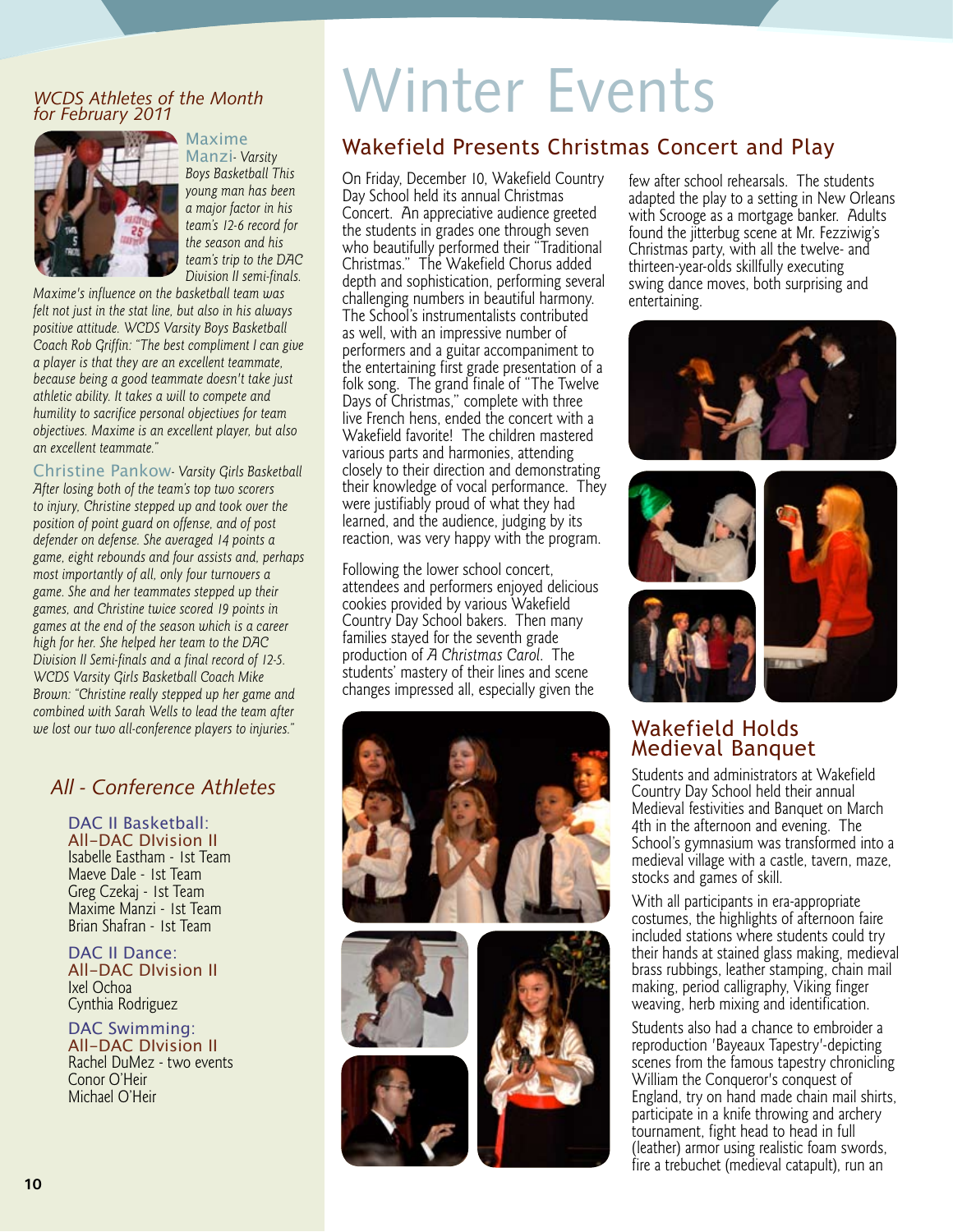#### *WCDS Athletes of the Month for February 2011*



**Maxime** Manzi*- Varsity Boys Basketball This young man has been a major factor in his team's 12-6 record for the season and his team's trip to the DAC Division II semi-finals.* 

*Maxime's influence on the basketball team was felt not just in the stat line, but also in his always positive attitude. WCDS Varsity Boys Basketball Coach Rob Griffin: "The best compliment I can give a player is that they are an excellent teammate, because being a good teammate doesn't take just athletic ability. It takes a will to compete and humility to sacrifice personal objectives for team objectives. Maxime is an excellent player, but also an excellent teammate."*

Christine Pankow*- Varsity Girls Basketball After losing both of the team's top two scorers to injury, Christine stepped up and took over the position of point guard on offense, and of post defender on defense. She averaged 14 points a game, eight rebounds and four assists and, perhaps most importantly of all, only four turnovers a game. She and her teammates stepped up their games, and Christine twice scored 19 points in games at the end of the season which is a career high for her. She helped her team to the DAC Division II Semi-finals and a final record of 12-5. WCDS Varsity Girls Basketball Coach Mike Brown: "Christine really stepped up her game and combined with Sarah Wells to lead the team after we lost our two all-conference players to injuries."*

#### *All - Conference Athletes*

DAC II Basketball: All-DAC DIvision II Isabelle Eastham - 1st Team Maeve Dale - 1st Team Greg Czekaj - 1st Team Maxime Manzi - 1st Team Brian Shafran - 1st Team

DAC II Dance: All-DAC DIvision II Ixel Ochoa Cynthia Rodriguez

DAC Swimming: All-DAC DIvision II Rachel DuMez - two events Conor O'Heir Michael O'Heir

## Winter Events

## Wakefield Presents Christmas Concert and Play

On Friday, December 10, Wakefield Country Day School held its annual Christmas Concert. An appreciative audience greeted the students in grades one through seven who beautifully performed their "Traditional Christmas." The Wakefield Chorus added depth and sophistication, performing several challenging numbers in beautiful harmony. The School's instrumentalists contributed as well, with an impressive number of performers and a guitar accompaniment to the entertaining first grade presentation of a folk song. The grand finale of "The Twelve Days of Christmas," complete with three live French hens, ended the concert with a Wakefield favorite! The children mastered various parts and harmonies, attending closely to their direction and demonstrating their knowledge of vocal performance. They were justifiably proud of what they had learned, and the audience, judging by its reaction, was very happy with the program.

Following the lower school concert, attendees and performers enjoyed delicious cookies provided by various Wakefield Country Day School bakers. Then many families stayed for the seventh grade production of *A Christmas Carol*. The students' mastery of their lines and scene changes impressed all, especially given the









few after school rehearsals. The students adapted the play to a setting in New Orleans with Scrooge as a mortgage banker. Adults found the jitterbug scene at Mr. Fezziwig's Christmas party, with all the twelve- and thirteen-year-olds skillfully executing swing dance moves, both surprising and entertaining.





### Wakefield Holds Medieval Banquet

Students and administrators at Wakefield Country Day School held their annual Medieval festivities and Banquet on March 4th in the afternoon and evening. The School's gymnasium was transformed into a medieval village with a castle, tavern, maze, stocks and games of skill.

With all participants in era-appropriate costumes, the highlights of afternoon faire included stations where students could try their hands at stained glass making, medieval brass rubbings, leather stamping, chain mail making, period calligraphy, Viking finger weaving, herb mixing and identification.

Students also had a chance to embroider a reproduction 'Bayeaux Tapestry'-depicting scenes from the famous tapestry chronicling William the Conqueror's conquest of England, try on hand made chain mail shirts, participate in a knife throwing and archery tournament, fight head to head in full (leather) armor using realistic foam swords, fire a trebuchet (medieval catapult), run an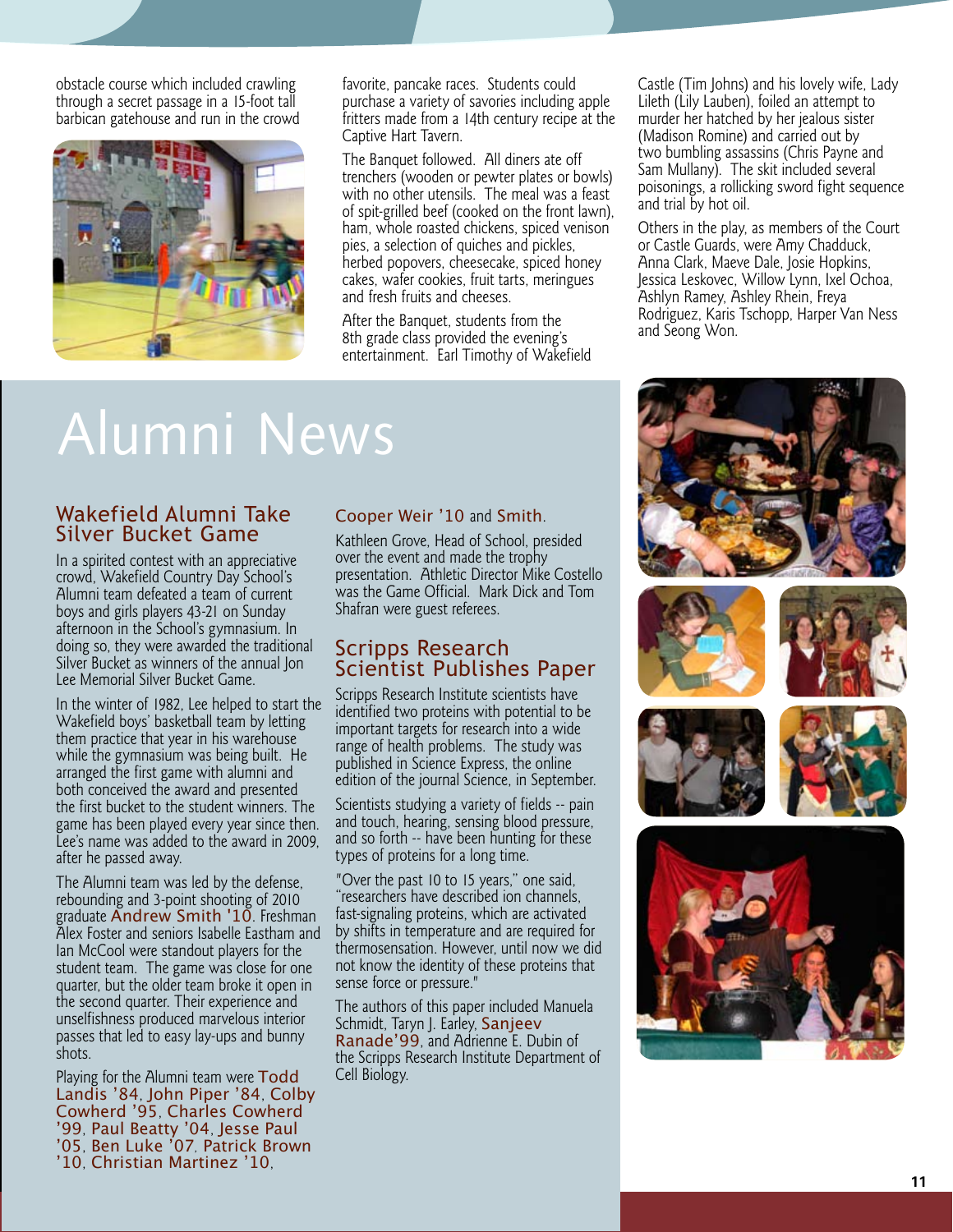obstacle course which included crawling through a secret passage in a 15-foot tall barbican gatehouse and run in the crowd



favorite, pancake races. Students could purchase a variety of savories including apple fritters made from a 14th century recipe at the Captive Hart Tavern.

The Banquet followed. All diners ate off trenchers (wooden or pewter plates or bowls) with no other utensils. The meal was a feast of spit-grilled beef (cooked on the front lawn), ham, whole roasted chickens, spiced venison pies, a selection of quiches and pickles, herbed popovers, cheesecake, spiced honey cakes, wafer cookies, fruit tarts, meringues and fresh fruits and cheeses.

After the Banquet, students from the 8th grade class provided the evening's entertainment. Earl Timothy of Wakefield Castle (Tim Johns) and his lovely wife, Lady Lileth (Lily Lauben), foiled an attempt to murder her hatched by her jealous sister (Madison Romine) and carried out by two bumbling assassins (Chris Payne and Sam Mullany). The skit included several poisonings, a rollicking sword fight sequence and trial by hot oil.

Others in the play, as members of the Court or Castle Guards, were Amy Chadduck, Anna Clark, Maeve Dale, Josie Hopkins, Jessica Leskovec, Willow Lynn, Ixel Ochoa, Ashlyn Ramey, Ashley Rhein, Freya Rodriguez, Karis Tschopp, Harper Van Ness and Seong Won.

## Alumni News

#### Wakefield Alumni Take Silver Bucket Game

In a spirited contest with an appreciative crowd, Wakefield Country Day School's Alumni team defeated a team of current boys and girls players 43-21 on Sunday afternoon in the School's gymnasium. In doing so, they were awarded the traditional Silver Bucket as winners of the annual Jon Lee Memorial Silver Bucket Game.

In the winter of 1982, Lee helped to start the Wakefield boys' basketball team by letting them practice that year in his warehouse while the gymnasium was being built. He arranged the first game with alumni and both conceived the award and presented the first bucket to the student winners. The game has been played every year since then. Lee's name was added to the award in 2009, after he passed away.

The Alumni team was led by the defense, rebounding and 3-point shooting of 2010 graduate Andrew Smith '10. Freshman Alex Foster and seniors Isabelle Eastham and Ian McCool were standout players for the student team. The game was close for one quarter, but the older team broke it open in the second quarter. Their experience and unselfishness produced marvelous interior passes that led to easy lay-ups and bunny shots.

Playing for the Alumni team were Todd Landis '84, John Piper '84, Colby Cowherd '95, Charles Cowherd '99, Paul Beatty '04, Jesse Paul '05, Ben Luke '07*,* Patrick Brown '10, Christian Martinez '10,

#### Cooper Weir '10 and Smith.

Kathleen Grove, Head of School, presided over the event and made the trophy presentation. Athletic Director Mike Costello was the Game Official. Mark Dick and Tom Shafran were guest referees.

## Scripps Research Scientist Publishes Paper

Scripps Research Institute scientists have identified two proteins with potential to be important targets for research into a wide range of health problems. The study was published in Science Express, the online edition of the journal Science, in September.

Scientists studying a variety of fields -- pain and touch, hearing, sensing blood pressure, and so forth -- have been hunting for these types of proteins for a long time.

"Over the past 10 to 15 years," one said, "researchers have described ion channels, fast-signaling proteins, which are activated by shifts in temperature and are required for thermosensation. However, until now we did not know the identity of these proteins that sense force or pressure."

The authors of this paper included Manuela Schmidt, Taryn J. Earley, Sanjeev Ranade'99, and Adrienne E. Dubin of the Scripps Research Institute Department of Cell Biology.